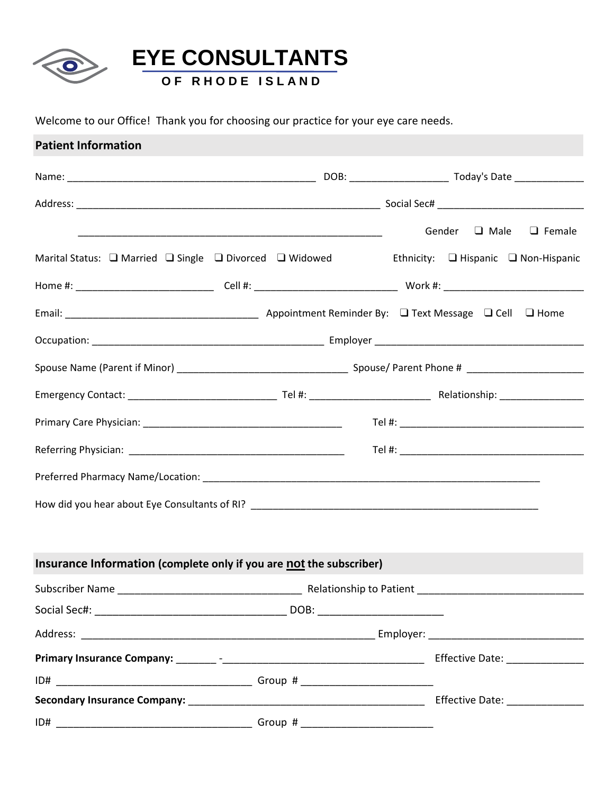

Welcome to our Office! Thank you for choosing our practice for your eye care needs.

| <b>Patient Information</b>                                                                                                 |  |                                  |  |
|----------------------------------------------------------------------------------------------------------------------------|--|----------------------------------|--|
|                                                                                                                            |  |                                  |  |
|                                                                                                                            |  |                                  |  |
|                                                                                                                            |  | Gender $\Box$ Male $\Box$ Female |  |
| Marital Status: $\Box$ Married $\Box$ Single $\Box$ Divorced $\Box$ Widowed Ethnicity: $\Box$ Hispanic $\Box$ Non-Hispanic |  |                                  |  |
|                                                                                                                            |  |                                  |  |
|                                                                                                                            |  |                                  |  |
|                                                                                                                            |  |                                  |  |
|                                                                                                                            |  |                                  |  |
|                                                                                                                            |  |                                  |  |
|                                                                                                                            |  |                                  |  |
|                                                                                                                            |  |                                  |  |
|                                                                                                                            |  |                                  |  |
|                                                                                                                            |  |                                  |  |
|                                                                                                                            |  |                                  |  |
| Insurance Information (complete only if you are not the subscriber)                                                        |  |                                  |  |
|                                                                                                                            |  |                                  |  |
|                                                                                                                            |  |                                  |  |
|                                                                                                                            |  |                                  |  |
|                                                                                                                            |  |                                  |  |
|                                                                                                                            |  |                                  |  |
|                                                                                                                            |  |                                  |  |
|                                                                                                                            |  |                                  |  |